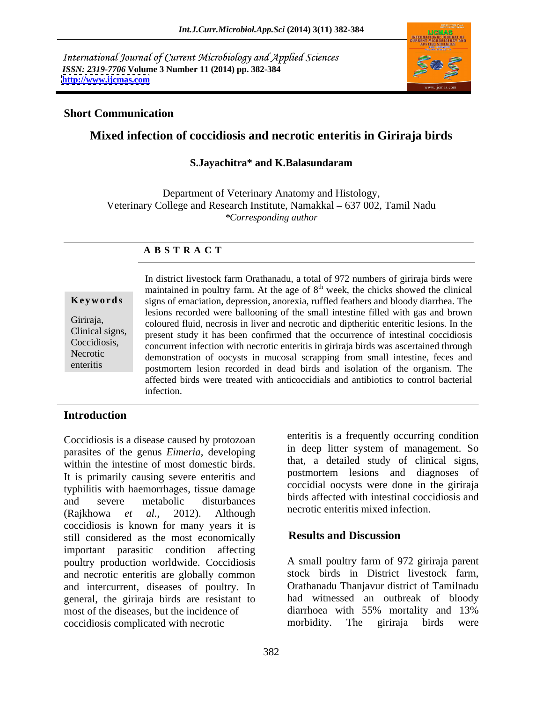International Journal of Current Microbiology and Applied Sciences *ISSN: 2319-7706* **Volume 3 Number 11 (2014) pp. 382-384 <http://www.ijcmas.com>**



### **Short Communication**

# **Mixed infection of coccidiosis and necrotic enteritis in Giriraja birds**

### **S.Jayachitra\* and K.Balasundaram**

Department of Veterinary Anatomy and Histology, Veterinary College and Research Institute, Namakkal – 637 002, Tamil Nadu *\*Corresponding author*

## **A B S T R A C T**

**Ke ywo rds** signs of emaciation, depression, anorexia, ruffled feathers and bloody diarrhea. The Giriraja, coloured fluid, necrosis in liver and necrotic and diptheritic enteritic lesions. In the Clinical signs, present study it has been confirmed that the occurrence of intestinal coccidiosis Coccidiosis, concurrent infection with necrotic enteritis in giriraja birds was ascertained through Necrotic demonstration of oocysts in mucosal scrapping from small intestine, feces and enteritis postmortem lesion recorded in dead birds and isolation of the organism. The In district livestock farm Orathanadu, a total of 972 numbers of giriraja birds were maintained in poultry farm. At the age of  $8<sup>th</sup>$  week, the chicks showed the clinical lesions recorded were ballooning of the small intestine filled with gas and brown affected birds were treated with anticoccidials and antibiotics to control bacterial infection.

## **Introduction**

Coccidiosis is a disease caused by protozoan parasites of the genus *Eimeria*, developing within the intestine of most domestic birds. It is primarily causing severe enteritis and typhilitis with haemorrhages, tissue damage and severe metabolic disturbances birds are different with intestinal coccidiosis and (Rajkhowa *et al.,* 2012). Although coccidiosis is known for many years it is<br>still considered as the most economically<br>**Results and Discussion** still considered as the most economically important parasitic condition affecting poultry production worldwide. Coccidiosis A small poultry farm of 972 giriraja parent and necrotic enteritis are globally common and intercurrent, diseases of poultry. In general, the giriraja birds are resistant to had witnessed an outbreak of bloody most of the diseases, but the incidence of diarrhoea with 55% mortality and 13% most of the diseases, but the incidence of coccidiosis complicated with necrotic

enteritis is a frequently occurring condition in deep litter system of management. So that, a detailed study of clinical signs, postmortem lesions and diagnoses of coccidial oocysts were done in the giriraja birds affected with intestinal coccidiosis and necrotic enteritis mixed infection.

## **Results and Discussion**

stock birds in District livestock farm, Orathanadu Thanjavur district of Tamilnadu had witnessed an outbreak of bloody diarrhoea with 55% mortality and 13% morbidity. The giriraja birds were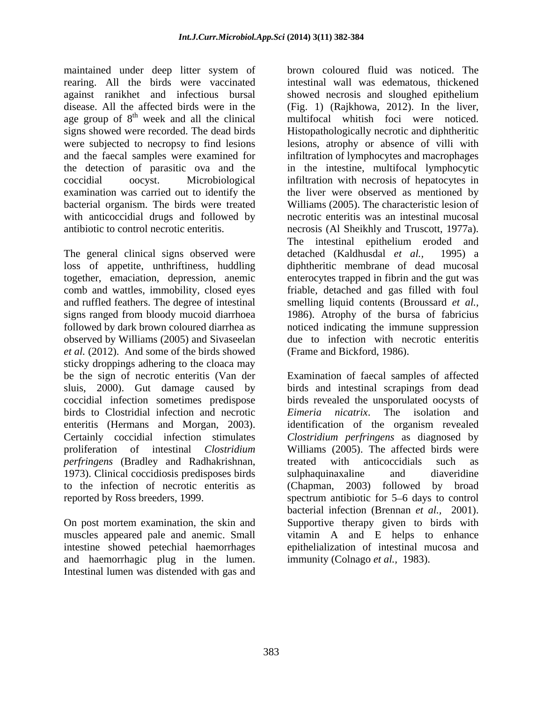maintained under deep litter system of rearing. All the birds were vaccinated against ranikhet and infectious bursal age group of  $8<sup>th</sup>$  week and all the clinical the detection of parasitic ova and the bacterial organism. The birds were treated with anticoccidial drugs and followed by

The general clinical signs observed were detached (Kaldhusdal *et al.*, 1995) a observed by Williams (2005) and Sivaseelan *et al.* (2012). And some of the birds showed sticky droppings adhering to the cloaca may coccidial infection sometimes predispose birds to Clostridial infection and necrotic Eimeria nicatrix. The isolation and *perfringens* (Bradley and Radhakrishnan, 1973). Clinical coccidiosis predisposes birds

intestine showed petechial haemorrhages and haemorrhagic plug in the lumen. Intestinal lumen was distended with gas and

disease. All the affected birds were in the (Fig. 1) (Rajkhowa, 2012). In the liver, <sup>th</sup> week and all the clinical multifocal whitish foci were noticed. signs showed were recorded. The dead birds Histopathologically necrotic and diphtheritic were subjected to necropsy to find lesions lesions, atrophy or absence of villi with and the faecal samples were examined for infiltration of lymphocytes and macrophages coccidial oocyst. Microbiological infiltration with necrosis of hepatocytes in examination was carried out to identify the the liver were observed as mentioned by antibiotic to control necrotic enteritis. necrosis (Al Sheikhly and Truscott, 1977a). loss of appetite, unthriftiness, huddling diphtheritic membrane of dead mucosal together, emaciation, depression, anemic enterocytes trapped in fibrin and the gut was comb and wattles, immobility, closed eyes friable, detached and gas filled with foul and ruffled feathers. The degree of intestinal smelling liquid contents (Broussard *et al.,* signs ranged from bloody mucoid diarrhoea 1986). Atrophy of the bursa of fabricius followed by dark brown coloured diarrhea as noticed indicating the immune suppression brown coloured fluid was noticed. The intestinal wall was edematous, thickened showed necrosis and sloughed epithelium in the intestine, multifocal lymphocytic Williams (2005). The characteristic lesion of necrotic enteritis was an intestinal mucosal The intestinal epithelium eroded and detached (Kaldhusdal *et al.,* due to infection with necrotic enteritis (Frame and Bickford, 1986).

be the sign of necrotic enteritis (Van der Examination of faecal samples of affected sluis, 2000). Gut damage caused by birds and intestinal scrapings from dead enteritis (Hermans and Morgan, 2003). identification of the organism revealed Certainly coccidial infection stimulates *Clostridium perfringens* as diagnosed by proliferation of intestinal *Clostridium*  Williams (2005). The affected birds were to the infection of necrotic enteritis as (Chapman, 2003) followed by broad reported by Ross breeders, 1999. Spectrum antibiotic for 5–6 days to control On post mortem examination, the skin and Supportive therapy given to birds with muscles appeared pale and anemic. Small vitamin A and E helps to enhance birds revealed the unsporulated oocysts of *Eimeria nicatrix*. The isolation and treated with anticoccidials such as sulphaquinaxaline and diaveridine bacterial infection (Brennan *et al.,* 2001). epithelialization of intestinal mucosa and immunity (Colnago *et al.,* 1983).